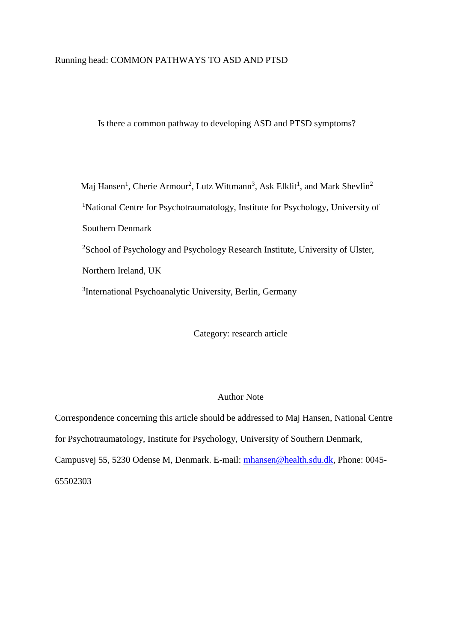# Running head: COMMON PATHWAYS TO ASD AND PTSD

Is there a common pathway to developing ASD and PTSD symptoms?

Maj Hansen<sup>1</sup>, Cherie Armour<sup>2</sup>, Lutz Wittmann<sup>3</sup>, Ask Elklit<sup>1</sup>, and Mark Shevlin<sup>2</sup> <sup>1</sup>National Centre for Psychotraumatology, Institute for Psychology, University of Southern Denmark <sup>2</sup>School of Psychology and Psychology Research Institute, University of Ulster, Northern Ireland, UK <sup>3</sup>International Psychoanalytic University, Berlin, Germany

Category: research article

## Author Note

Correspondence concerning this article should be addressed to Maj Hansen, National Centre for Psychotraumatology, Institute for Psychology, University of Southern Denmark, Campusvej 55, 5230 Odense M, Denmark. E-mail: [mhansen@health.sdu.dk,](mailto:mhansen@health.sdu.dk) Phone: 0045- 65502303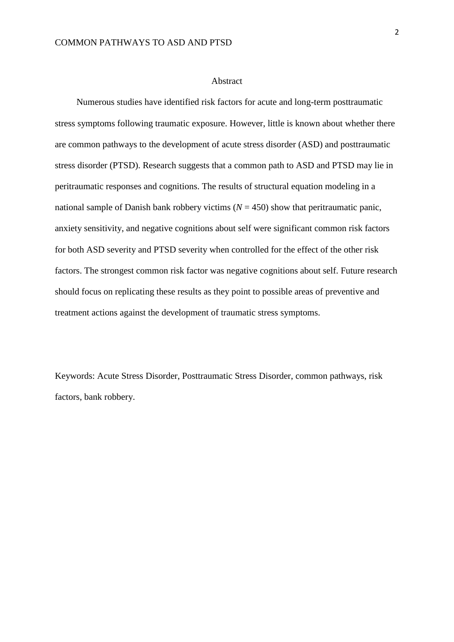#### Abstract

Numerous studies have identified risk factors for acute and long-term posttraumatic stress symptoms following traumatic exposure. However, little is known about whether there are common pathways to the development of acute stress disorder (ASD) and posttraumatic stress disorder (PTSD). Research suggests that a common path to ASD and PTSD may lie in peritraumatic responses and cognitions. The results of structural equation modeling in a national sample of Danish bank robbery victims  $(N = 450)$  show that peritraumatic panic, anxiety sensitivity, and negative cognitions about self were significant common risk factors for both ASD severity and PTSD severity when controlled for the effect of the other risk factors. The strongest common risk factor was negative cognitions about self. Future research should focus on replicating these results as they point to possible areas of preventive and treatment actions against the development of traumatic stress symptoms.

Keywords: Acute Stress Disorder, Posttraumatic Stress Disorder, common pathways, risk factors, bank robbery.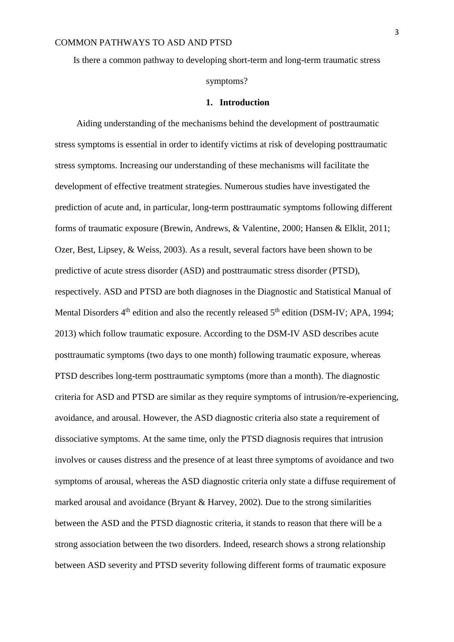Is there a common pathway to developing short-term and long-term traumatic stress symptoms?

#### **1. Introduction**

Aiding understanding of the mechanisms behind the development of posttraumatic stress symptoms is essential in order to identify victims at risk of developing posttraumatic stress symptoms. Increasing our understanding of these mechanisms will facilitate the development of effective treatment strategies. Numerous studies have investigated the prediction of acute and, in particular, long-term posttraumatic symptoms following different forms of traumatic exposure (Brewin, Andrews, & Valentine, 2000; Hansen & Elklit, 2011; Ozer, Best, Lipsey, & Weiss, 2003). As a result, several factors have been shown to be predictive of acute stress disorder (ASD) and posttraumatic stress disorder (PTSD), respectively. ASD and PTSD are both diagnoses in the Diagnostic and Statistical Manual of Mental Disorders  $4<sup>th</sup>$  edition and also the recently released  $5<sup>th</sup>$  edition (DSM-IV; APA, 1994; 2013) which follow traumatic exposure. According to the DSM-IV ASD describes acute posttraumatic symptoms (two days to one month) following traumatic exposure, whereas PTSD describes long-term posttraumatic symptoms (more than a month). The diagnostic criteria for ASD and PTSD are similar as they require symptoms of intrusion/re-experiencing, avoidance, and arousal. However, the ASD diagnostic criteria also state a requirement of dissociative symptoms. At the same time, only the PTSD diagnosis requires that intrusion involves or causes distress and the presence of at least three symptoms of avoidance and two symptoms of arousal, whereas the ASD diagnostic criteria only state a diffuse requirement of marked arousal and avoidance (Bryant & Harvey, 2002). Due to the strong similarities between the ASD and the PTSD diagnostic criteria, it stands to reason that there will be a strong association between the two disorders. Indeed, research shows a strong relationship between ASD severity and PTSD severity following different forms of traumatic exposure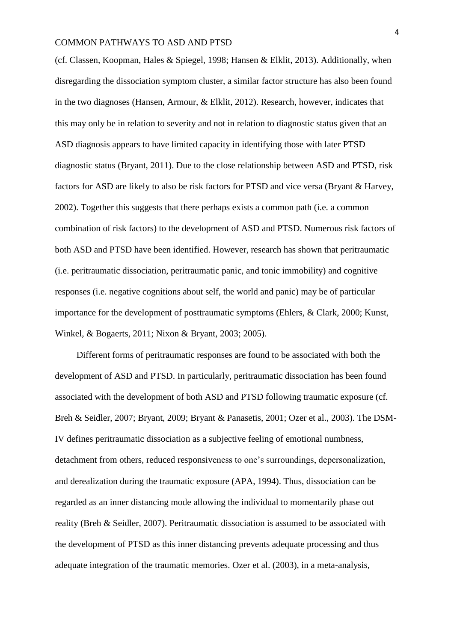(cf. Classen, Koopman, Hales & Spiegel, 1998; Hansen & Elklit, 2013). Additionally, when disregarding the dissociation symptom cluster, a similar factor structure has also been found in the two diagnoses (Hansen, Armour, & Elklit, 2012). Research, however, indicates that this may only be in relation to severity and not in relation to diagnostic status given that an ASD diagnosis appears to have limited capacity in identifying those with later PTSD diagnostic status (Bryant, 2011). Due to the close relationship between ASD and PTSD, risk factors for ASD are likely to also be risk factors for PTSD and vice versa (Bryant & Harvey, 2002). Together this suggests that there perhaps exists a common path (i.e. a common combination of risk factors) to the development of ASD and PTSD. Numerous risk factors of both ASD and PTSD have been identified. However, research has shown that peritraumatic (i.e. peritraumatic dissociation, peritraumatic panic, and tonic immobility) and cognitive responses (i.e. negative cognitions about self, the world and panic) may be of particular importance for the development of posttraumatic symptoms (Ehlers, & Clark, 2000; Kunst, Winkel, & Bogaerts, 2011; Nixon & Bryant, 2003; 2005).

Different forms of peritraumatic responses are found to be associated with both the development of ASD and PTSD. In particularly, peritraumatic dissociation has been found associated with the development of both ASD and PTSD following traumatic exposure (cf. Breh & Seidler, 2007; Bryant, 2009; Bryant & Panasetis, 2001; Ozer et al., 2003). The DSM-IV defines peritraumatic dissociation as a subjective feeling of emotional numbness, detachment from others, reduced responsiveness to one's surroundings, depersonalization, and derealization during the traumatic exposure (APA, 1994). Thus, dissociation can be regarded as an inner distancing mode allowing the individual to momentarily phase out reality (Breh & Seidler, 2007). Peritraumatic dissociation is assumed to be associated with the development of PTSD as this inner distancing prevents adequate processing and thus adequate integration of the traumatic memories. Ozer et al. (2003), in a meta-analysis,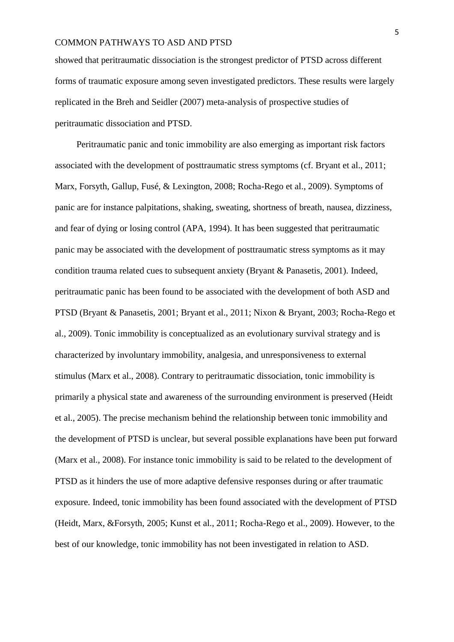showed that peritraumatic dissociation is the strongest predictor of PTSD across different forms of traumatic exposure among seven investigated predictors. These results were largely replicated in the Breh and Seidler (2007) meta-analysis of prospective studies of peritraumatic dissociation and PTSD.

Peritraumatic panic and tonic immobility are also emerging as important risk factors associated with the development of posttraumatic stress symptoms (cf. Bryant et al., 2011; Marx, Forsyth, Gallup, Fusé, & Lexington, 2008; Rocha-Rego et al., 2009). Symptoms of panic are for instance palpitations, shaking, sweating, shortness of breath, nausea, dizziness, and fear of dying or losing control (APA, 1994). It has been suggested that peritraumatic panic may be associated with the development of posttraumatic stress symptoms as it may condition trauma related cues to subsequent anxiety (Bryant & Panasetis, 2001). Indeed, peritraumatic panic has been found to be associated with the development of both ASD and PTSD (Bryant & Panasetis, 2001; Bryant et al., 2011; Nixon & Bryant, 2003; Rocha-Rego et al., 2009). Tonic immobility is conceptualized as an evolutionary survival strategy and is characterized by involuntary immobility, analgesia, and unresponsiveness to external stimulus (Marx et al., 2008). Contrary to peritraumatic dissociation, tonic immobility is primarily a physical state and awareness of the surrounding environment is preserved (Heidt et al., 2005). The precise mechanism behind the relationship between tonic immobility and the development of PTSD is unclear, but several possible explanations have been put forward (Marx et al., 2008). For instance tonic immobility is said to be related to the development of PTSD as it hinders the use of more adaptive defensive responses during or after traumatic exposure. Indeed, tonic immobility has been found associated with the development of PTSD (Heidt, Marx, &Forsyth, 2005; Kunst et al., 2011; Rocha-Rego et al., 2009). However, to the best of our knowledge, tonic immobility has not been investigated in relation to ASD.

5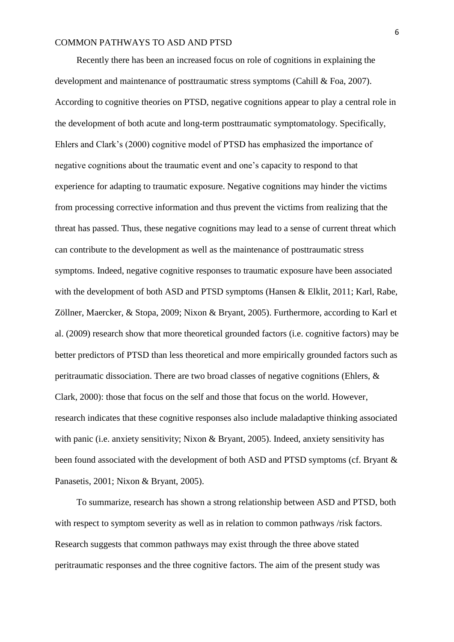Recently there has been an increased focus on role of cognitions in explaining the development and maintenance of posttraumatic stress symptoms (Cahill & Foa, 2007). According to cognitive theories on PTSD, negative cognitions appear to play a central role in the development of both acute and long-term posttraumatic symptomatology. Specifically, Ehlers and Clark's (2000) cognitive model of PTSD has emphasized the importance of negative cognitions about the traumatic event and one's capacity to respond to that experience for adapting to traumatic exposure. Negative cognitions may hinder the victims from processing corrective information and thus prevent the victims from realizing that the threat has passed. Thus, these negative cognitions may lead to a sense of current threat which can contribute to the development as well as the maintenance of posttraumatic stress symptoms. Indeed, negative cognitive responses to traumatic exposure have been associated with the development of both ASD and PTSD symptoms (Hansen & Elklit, 2011; Karl, Rabe, Zöllner, Maercker, & Stopa, 2009; Nixon & Bryant, 2005). Furthermore, according to Karl et al. (2009) research show that more theoretical grounded factors (i.e. cognitive factors) may be better predictors of PTSD than less theoretical and more empirically grounded factors such as peritraumatic dissociation. There are two broad classes of negative cognitions (Ehlers, & Clark, 2000): those that focus on the self and those that focus on the world. However, research indicates that these cognitive responses also include maladaptive thinking associated with panic (i.e. anxiety sensitivity; Nixon & Bryant, 2005). Indeed, anxiety sensitivity has been found associated with the development of both ASD and PTSD symptoms (cf. Bryant & Panasetis, 2001; Nixon & Bryant, 2005).

To summarize, research has shown a strong relationship between ASD and PTSD, both with respect to symptom severity as well as in relation to common pathways /risk factors. Research suggests that common pathways may exist through the three above stated peritraumatic responses and the three cognitive factors. The aim of the present study was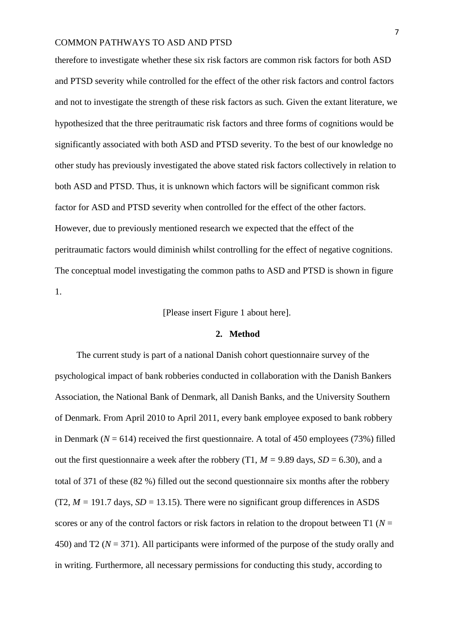therefore to investigate whether these six risk factors are common risk factors for both ASD and PTSD severity while controlled for the effect of the other risk factors and control factors and not to investigate the strength of these risk factors as such. Given the extant literature, we hypothesized that the three peritraumatic risk factors and three forms of cognitions would be significantly associated with both ASD and PTSD severity. To the best of our knowledge no other study has previously investigated the above stated risk factors collectively in relation to both ASD and PTSD. Thus, it is unknown which factors will be significant common risk factor for ASD and PTSD severity when controlled for the effect of the other factors. However, due to previously mentioned research we expected that the effect of the peritraumatic factors would diminish whilst controlling for the effect of negative cognitions. The conceptual model investigating the common paths to ASD and PTSD is shown in figure 1.

[Please insert Figure 1 about here].

#### **2. Method**

The current study is part of a national Danish cohort questionnaire survey of the psychological impact of bank robberies conducted in collaboration with the Danish Bankers Association, the National Bank of Denmark, all Danish Banks, and the University Southern of Denmark. From April 2010 to April 2011, every bank employee exposed to bank robbery in Denmark ( $N = 614$ ) received the first questionnaire. A total of 450 employees (73%) filled out the first questionnaire a week after the robbery (T1,  $M = 9.89$  days,  $SD = 6.30$ ), and a total of 371 of these (82 %) filled out the second questionnaire six months after the robbery  $(T2, M = 191.7$  days,  $SD = 13.15$ ). There were no significant group differences in ASDS scores or any of the control factors or risk factors in relation to the dropout between  $T1$  ( $N =$ 450) and T2 (*N* = 371). All participants were informed of the purpose of the study orally and in writing. Furthermore, all necessary permissions for conducting this study, according to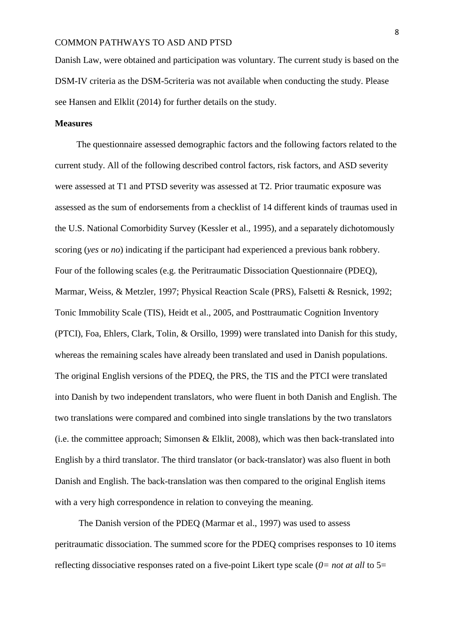Danish Law, were obtained and participation was voluntary. The current study is based on the DSM-IV criteria as the DSM-5criteria was not available when conducting the study. Please see Hansen and Elklit (2014) for further details on the study.

#### **Measures**

The questionnaire assessed demographic factors and the following factors related to the current study. All of the following described control factors, risk factors, and ASD severity were assessed at T1 and PTSD severity was assessed at T2. Prior traumatic exposure was assessed as the sum of endorsements from a checklist of 14 different kinds of traumas used in the U.S. National Comorbidity Survey (Kessler et al., 1995), and a separately dichotomously scoring (*yes* or *no*) indicating if the participant had experienced a previous bank robbery. Four of the following scales (e.g. the Peritraumatic Dissociation Questionnaire (PDEQ), Marmar, Weiss, & Metzler, 1997; Physical Reaction Scale (PRS), Falsetti & Resnick, 1992; Tonic Immobility Scale (TIS), Heidt et al., 2005, and Posttraumatic Cognition Inventory (PTCI), Foa, Ehlers, Clark, Tolin, & Orsillo, 1999) were translated into Danish for this study, whereas the remaining scales have already been translated and used in Danish populations. The original English versions of the PDEQ, the PRS, the TIS and the PTCI were translated into Danish by two independent translators, who were fluent in both Danish and English. The two translations were compared and combined into single translations by the two translators (i.e. the committee approach; Simonsen & Elklit, 2008), which was then back-translated into English by a third translator. The third translator (or back-translator) was also fluent in both Danish and English. The back-translation was then compared to the original English items with a very high correspondence in relation to conveying the meaning.

The Danish version of the PDEQ (Marmar et al., 1997) was used to assess peritraumatic dissociation. The summed score for the PDEQ comprises responses to 10 items reflecting dissociative responses rated on a five-point Likert type scale (*0= not at all* to 5=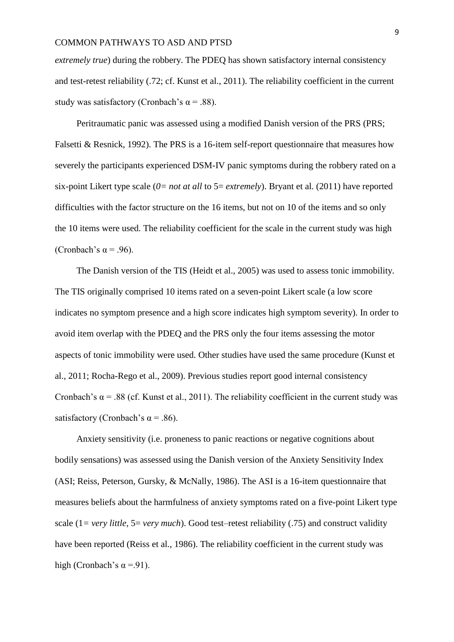*extremely true*) during the robbery. The PDEQ has shown satisfactory internal consistency and test-retest reliability (.72; cf. Kunst et al., 2011). The reliability coefficient in the current study was satisfactory (Cronbach's  $\alpha$  = .88).

Peritraumatic panic was assessed using a modified Danish version of the PRS (PRS; Falsetti & Resnick, 1992). The PRS is a 16-item self-report questionnaire that measures how severely the participants experienced DSM-IV panic symptoms during the robbery rated on a six-point Likert type scale  $(0= not \text{ at all to } 5=extremely)$ . Bryant et al. (2011) have reported difficulties with the factor structure on the 16 items, but not on 10 of the items and so only the 10 items were used. The reliability coefficient for the scale in the current study was high (Cronbach's  $\alpha$  = .96).

The Danish version of the TIS (Heidt et al., 2005) was used to assess tonic immobility. The TIS originally comprised 10 items rated on a seven-point Likert scale (a low score indicates no symptom presence and a high score indicates high symptom severity). In order to avoid item overlap with the PDEQ and the PRS only the four items assessing the motor aspects of tonic immobility were used. Other studies have used the same procedure (Kunst et al., 2011; Rocha-Rego et al., 2009). Previous studies report good internal consistency Cronbach's  $\alpha$  = .88 (cf. Kunst et al., 2011). The reliability coefficient in the current study was satisfactory (Cronbach's  $\alpha$  = .86).

Anxiety sensitivity (i.e. proneness to panic reactions or negative cognitions about bodily sensations) was assessed using the Danish version of the Anxiety Sensitivity Index (ASI; Reiss, Peterson, Gursky, & McNally, 1986). The ASI is a 16-item questionnaire that measures beliefs about the harmfulness of anxiety symptoms rated on a five-point Likert type scale (1*= very little,* 5= *very much*). Good test–retest reliability (.75) and construct validity have been reported (Reiss et al., 1986). The reliability coefficient in the current study was high (Cronbach's  $\alpha = -91$ ).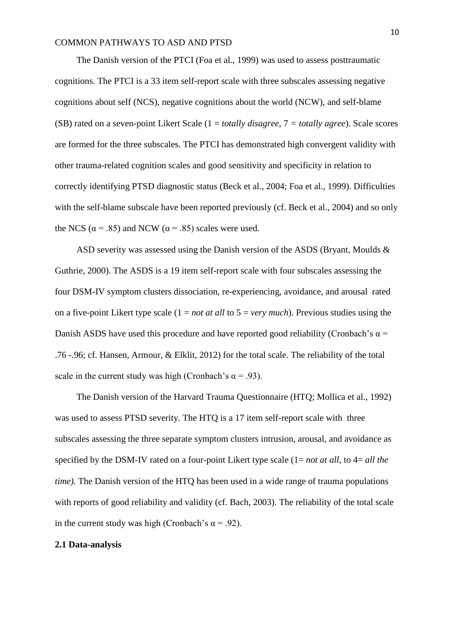The Danish version of the PTCI (Foa et al., 1999) was used to assess posttraumatic cognitions. The PTCI is a 33 item self-report scale with three subscales assessing negative cognitions about self (NCS), negative cognitions about the world (NCW), and self-blame (SB) rated on a seven-point Likert Scale (1 = *totally disagree*, 7 *= totally agree*). Scale scores are formed for the three subscales. The PTCI has demonstrated high convergent validity with other trauma-related cognition scales and good sensitivity and specificity in relation to correctly identifying PTSD diagnostic status (Beck et al., 2004; Foa et al., 1999). Difficulties with the self-blame subscale have been reported previously (cf. Beck et al., 2004) and so only the NCS ( $\alpha$  = .85) and NCW ( $\alpha$  = .85) scales were used.

ASD severity was assessed using the Danish version of the ASDS (Bryant, Moulds & Guthrie, 2000). The ASDS is a 19 item self-report scale with four subscales assessing the four DSM-IV symptom clusters dissociation, re-experiencing, avoidance, and arousal rated on a five-point Likert type scale (1 = *not at all* to 5 = *very much*). Previous studies using the Danish ASDS have used this procedure and have reported good reliability (Cronbach's  $\alpha$  = .76 -.96; cf. Hansen, Armour, & Elklit, 2012) for the total scale. The reliability of the total scale in the current study was high (Cronbach's  $\alpha$  = .93).

The Danish version of the Harvard Trauma Questionnaire (HTQ; Mollica et al., 1992) was used to assess PTSD severity. The HTQ is a 17 item self-report scale with three subscales assessing the three separate symptom clusters intrusion, arousal, and avoidance as specified by the DSM-IV rated on a four-point Likert type scale (1= *not at all*, to 4= *all the time*). The Danish version of the HTO has been used in a wide range of trauma populations with reports of good reliability and validity (cf. Bach, 2003). The reliability of the total scale in the current study was high (Cronbach's  $\alpha$  = .92).

#### **2.1 Data-analysis**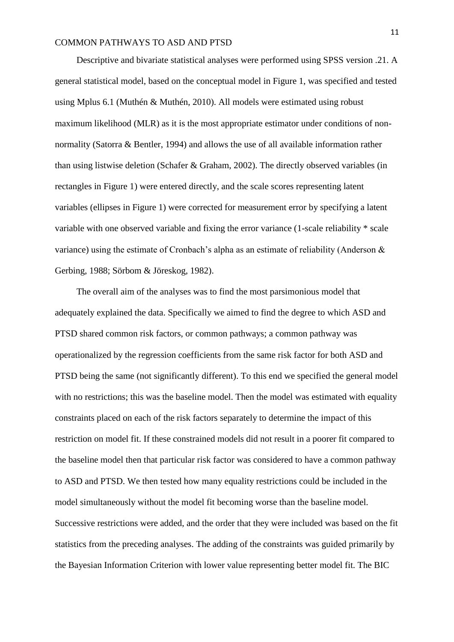Descriptive and bivariate statistical analyses were performed using SPSS version .21. A general statistical model, based on the conceptual model in Figure 1, was specified and tested using Mplus 6.1 (Muthén & Muthén, 2010). All models were estimated using robust maximum likelihood (MLR) as it is the most appropriate estimator under conditions of nonnormality (Satorra & Bentler, 1994) and allows the use of all available information rather than using listwise deletion (Schafer & Graham, 2002). The directly observed variables (in rectangles in Figure 1) were entered directly, and the scale scores representing latent variables (ellipses in Figure 1) were corrected for measurement error by specifying a latent variable with one observed variable and fixing the error variance (1-scale reliability \* scale variance) using the estimate of Cronbach's alpha as an estimate of reliability (Anderson & Gerbing, 1988; Sörbom & Jöreskog, 1982).

The overall aim of the analyses was to find the most parsimonious model that adequately explained the data. Specifically we aimed to find the degree to which ASD and PTSD shared common risk factors, or common pathways; a common pathway was operationalized by the regression coefficients from the same risk factor for both ASD and PTSD being the same (not significantly different). To this end we specified the general model with no restrictions; this was the baseline model. Then the model was estimated with equality constraints placed on each of the risk factors separately to determine the impact of this restriction on model fit. If these constrained models did not result in a poorer fit compared to the baseline model then that particular risk factor was considered to have a common pathway to ASD and PTSD. We then tested how many equality restrictions could be included in the model simultaneously without the model fit becoming worse than the baseline model. Successive restrictions were added, and the order that they were included was based on the fit statistics from the preceding analyses. The adding of the constraints was guided primarily by the Bayesian Information Criterion with lower value representing better model fit. The BIC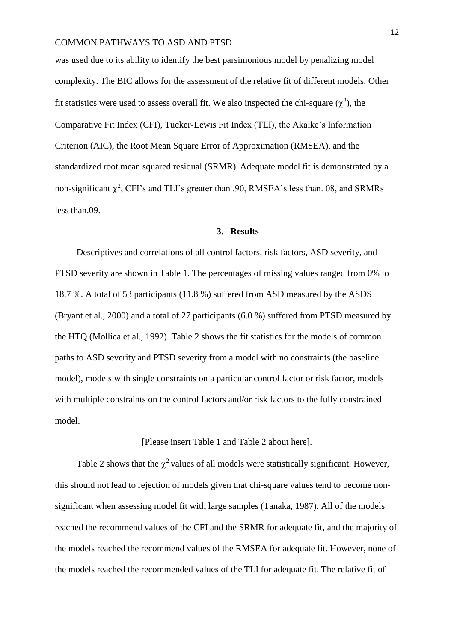was used due to its ability to identify the best parsimonious model by penalizing model complexity. The BIC allows for the assessment of the relative fit of different models. Other fit statistics were used to assess overall fit. We also inspected the chi-square  $(\chi^2)$ , the Comparative Fit Index (CFI), Tucker-Lewis Fit Index (TLI), the Akaike's Information Criterion (AIC), the Root Mean Square Error of Approximation (RMSEA), and the standardized root mean squared residual (SRMR). Adequate model fit is demonstrated by a non-significant  $\chi^2$ , CFI's and TLI's greater than .90, RMSEA's less than. 08, and SRMRs less than.09.

#### **3. Results**

Descriptives and correlations of all control factors, risk factors, ASD severity, and PTSD severity are shown in Table 1. The percentages of missing values ranged from 0% to 18.7 %. A total of 53 participants (11.8 %) suffered from ASD measured by the ASDS (Bryant et al., 2000) and a total of 27 participants (6.0 %) suffered from PTSD measured by the HTQ (Mollica et al., 1992). Table 2 shows the fit statistics for the models of common paths to ASD severity and PTSD severity from a model with no constraints (the baseline model), models with single constraints on a particular control factor or risk factor, models with multiple constraints on the control factors and/or risk factors to the fully constrained model.

### [Please insert Table 1 and Table 2 about here].

Table 2 shows that the  $\chi^2$  values of all models were statistically significant. However, this should not lead to rejection of models given that chi-square values tend to become nonsignificant when assessing model fit with large samples (Tanaka, 1987). All of the models reached the recommend values of the CFI and the SRMR for adequate fit, and the majority of the models reached the recommend values of the RMSEA for adequate fit. However, none of the models reached the recommended values of the TLI for adequate fit. The relative fit of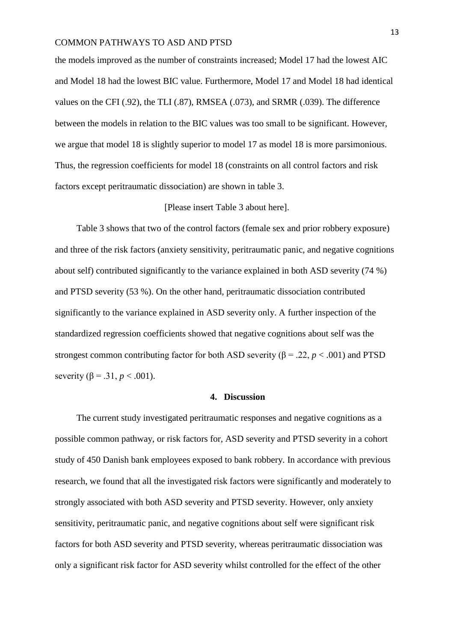the models improved as the number of constraints increased; Model 17 had the lowest AIC and Model 18 had the lowest BIC value. Furthermore, Model 17 and Model 18 had identical values on the CFI (.92), the TLI (.87), RMSEA (.073), and SRMR (.039). The difference between the models in relation to the BIC values was too small to be significant. However, we argue that model 18 is slightly superior to model 17 as model 18 is more parsimonious. Thus, the regression coefficients for model 18 (constraints on all control factors and risk factors except peritraumatic dissociation) are shown in table 3.

#### [Please insert Table 3 about here].

Table 3 shows that two of the control factors (female sex and prior robbery exposure) and three of the risk factors (anxiety sensitivity, peritraumatic panic, and negative cognitions about self) contributed significantly to the variance explained in both ASD severity (74 %) and PTSD severity (53 %). On the other hand, peritraumatic dissociation contributed significantly to the variance explained in ASD severity only. A further inspection of the standardized regression coefficients showed that negative cognitions about self was the strongest common contributing factor for both ASD severity ( $\beta$  = .22, *p* < .001) and PTSD severity ( $\beta = .31$ ,  $p < .001$ ).

#### **4. Discussion**

The current study investigated peritraumatic responses and negative cognitions as a possible common pathway, or risk factors for, ASD severity and PTSD severity in a cohort study of 450 Danish bank employees exposed to bank robbery. In accordance with previous research, we found that all the investigated risk factors were significantly and moderately to strongly associated with both ASD severity and PTSD severity. However, only anxiety sensitivity, peritraumatic panic, and negative cognitions about self were significant risk factors for both ASD severity and PTSD severity, whereas peritraumatic dissociation was only a significant risk factor for ASD severity whilst controlled for the effect of the other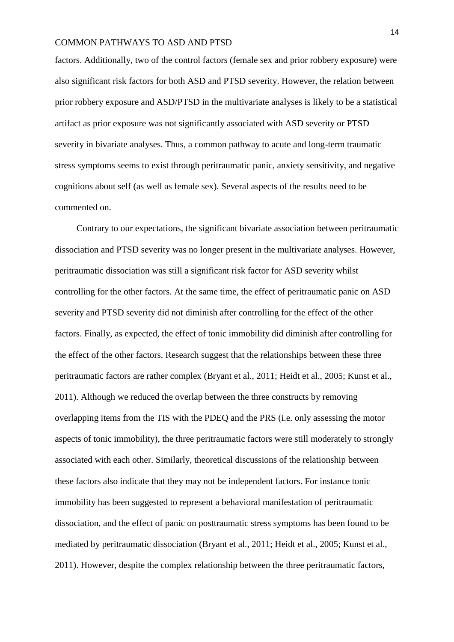factors. Additionally, two of the control factors (female sex and prior robbery exposure) were also significant risk factors for both ASD and PTSD severity. However, the relation between prior robbery exposure and ASD/PTSD in the multivariate analyses is likely to be a statistical artifact as prior exposure was not significantly associated with ASD severity or PTSD severity in bivariate analyses. Thus, a common pathway to acute and long-term traumatic stress symptoms seems to exist through peritraumatic panic, anxiety sensitivity, and negative cognitions about self (as well as female sex). Several aspects of the results need to be commented on.

Contrary to our expectations, the significant bivariate association between peritraumatic dissociation and PTSD severity was no longer present in the multivariate analyses. However, peritraumatic dissociation was still a significant risk factor for ASD severity whilst controlling for the other factors. At the same time, the effect of peritraumatic panic on ASD severity and PTSD severity did not diminish after controlling for the effect of the other factors. Finally, as expected, the effect of tonic immobility did diminish after controlling for the effect of the other factors. Research suggest that the relationships between these three peritraumatic factors are rather complex (Bryant et al., 2011; Heidt et al., 2005; Kunst et al., 2011). Although we reduced the overlap between the three constructs by removing overlapping items from the TIS with the PDEQ and the PRS (i.e. only assessing the motor aspects of tonic immobility), the three peritraumatic factors were still moderately to strongly associated with each other. Similarly, theoretical discussions of the relationship between these factors also indicate that they may not be independent factors. For instance tonic immobility has been suggested to represent a behavioral manifestation of peritraumatic dissociation, and the effect of panic on posttraumatic stress symptoms has been found to be mediated by peritraumatic dissociation (Bryant et al., 2011; Heidt et al., 2005; Kunst et al., 2011). However, despite the complex relationship between the three peritraumatic factors,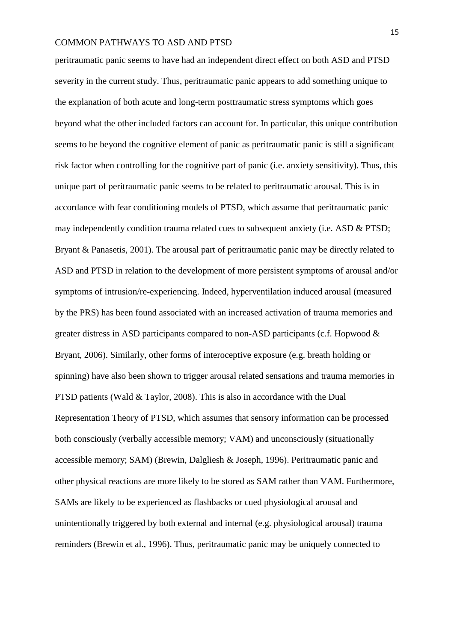peritraumatic panic seems to have had an independent direct effect on both ASD and PTSD severity in the current study. Thus, peritraumatic panic appears to add something unique to the explanation of both acute and long-term posttraumatic stress symptoms which goes beyond what the other included factors can account for. In particular, this unique contribution seems to be beyond the cognitive element of panic as peritraumatic panic is still a significant risk factor when controlling for the cognitive part of panic (i.e. anxiety sensitivity). Thus, this unique part of peritraumatic panic seems to be related to peritraumatic arousal. This is in accordance with fear conditioning models of PTSD, which assume that peritraumatic panic may independently condition trauma related cues to subsequent anxiety (i.e. ASD & PTSD; Bryant & Panasetis, 2001). The arousal part of peritraumatic panic may be directly related to ASD and PTSD in relation to the development of more persistent symptoms of arousal and/or symptoms of intrusion/re-experiencing. Indeed, hyperventilation induced arousal (measured by the PRS) has been found associated with an increased activation of trauma memories and greater distress in ASD participants compared to non-ASD participants (c.f. Hopwood & Bryant, 2006). Similarly, other forms of interoceptive exposure (e.g. breath holding or spinning) have also been shown to trigger arousal related sensations and trauma memories in PTSD patients (Wald & Taylor, 2008). This is also in accordance with the Dual Representation Theory of PTSD, which assumes that sensory information can be processed both consciously (verbally accessible memory; VAM) and unconsciously (situationally accessible memory; SAM) (Brewin, Dalgliesh & Joseph, 1996). Peritraumatic panic and other physical reactions are more likely to be stored as SAM rather than VAM. Furthermore, SAMs are likely to be experienced as flashbacks or cued physiological arousal and unintentionally triggered by both external and internal (e.g. physiological arousal) trauma reminders (Brewin et al., 1996). Thus, peritraumatic panic may be uniquely connected to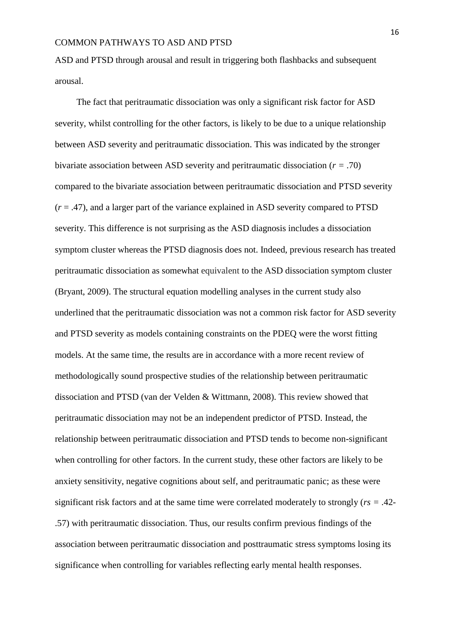ASD and PTSD through arousal and result in triggering both flashbacks and subsequent arousal.

The fact that peritraumatic dissociation was only a significant risk factor for ASD severity, whilst controlling for the other factors, is likely to be due to a unique relationship between ASD severity and peritraumatic dissociation. This was indicated by the stronger bivariate association between ASD severity and peritraumatic dissociation (*r =* .70) compared to the bivariate association between peritraumatic dissociation and PTSD severity  $(r = .47)$ , and a larger part of the variance explained in ASD severity compared to PTSD severity. This difference is not surprising as the ASD diagnosis includes a dissociation symptom cluster whereas the PTSD diagnosis does not. Indeed, previous research has treated peritraumatic dissociation as somewhat equivalent to the ASD dissociation symptom cluster (Bryant, 2009). The structural equation modelling analyses in the current study also underlined that the peritraumatic dissociation was not a common risk factor for ASD severity and PTSD severity as models containing constraints on the PDEQ were the worst fitting models. At the same time, the results are in accordance with a more recent review of methodologically sound prospective studies of the relationship between peritraumatic dissociation and PTSD (van der Velden & Wittmann, 2008). This review showed that peritraumatic dissociation may not be an independent predictor of PTSD. Instead, the relationship between peritraumatic dissociation and PTSD tends to become non-significant when controlling for other factors. In the current study, these other factors are likely to be anxiety sensitivity, negative cognitions about self, and peritraumatic panic; as these were significant risk factors and at the same time were correlated moderately to strongly (*rs =* .42- .57) with peritraumatic dissociation. Thus, our results confirm previous findings of the association between peritraumatic dissociation and posttraumatic stress symptoms losing its significance when controlling for variables reflecting early mental health responses.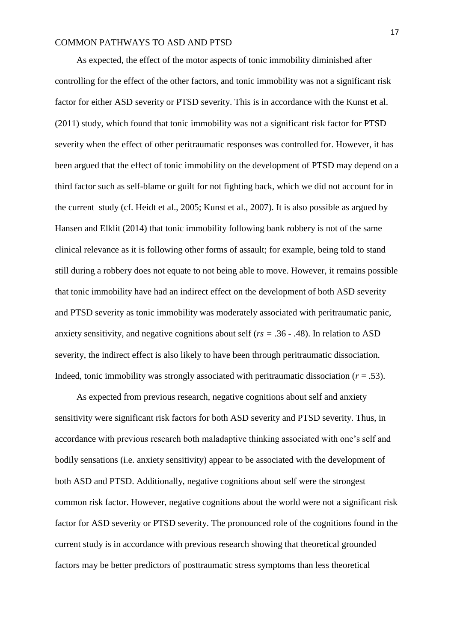As expected, the effect of the motor aspects of tonic immobility diminished after controlling for the effect of the other factors, and tonic immobility was not a significant risk factor for either ASD severity or PTSD severity. This is in accordance with the Kunst et al. (2011) study, which found that tonic immobility was not a significant risk factor for PTSD severity when the effect of other peritraumatic responses was controlled for. However, it has been argued that the effect of tonic immobility on the development of PTSD may depend on a third factor such as self-blame or guilt for not fighting back, which we did not account for in the current study (cf. Heidt et al., 2005; Kunst et al., 2007). It is also possible as argued by Hansen and Elklit (2014) that tonic immobility following bank robbery is not of the same clinical relevance as it is following other forms of assault; for example, being told to stand still during a robbery does not equate to not being able to move. However, it remains possible that tonic immobility have had an indirect effect on the development of both ASD severity and PTSD severity as tonic immobility was moderately associated with peritraumatic panic, anxiety sensitivity, and negative cognitions about self (*rs =* .36 - .48). In relation to ASD severity, the indirect effect is also likely to have been through peritraumatic dissociation. Indeed, tonic immobility was strongly associated with peritraumatic dissociation  $(r = .53)$ .

As expected from previous research, negative cognitions about self and anxiety sensitivity were significant risk factors for both ASD severity and PTSD severity. Thus, in accordance with previous research both maladaptive thinking associated with one's self and bodily sensations (i.e. anxiety sensitivity) appear to be associated with the development of both ASD and PTSD. Additionally, negative cognitions about self were the strongest common risk factor. However, negative cognitions about the world were not a significant risk factor for ASD severity or PTSD severity. The pronounced role of the cognitions found in the current study is in accordance with previous research showing that theoretical grounded factors may be better predictors of posttraumatic stress symptoms than less theoretical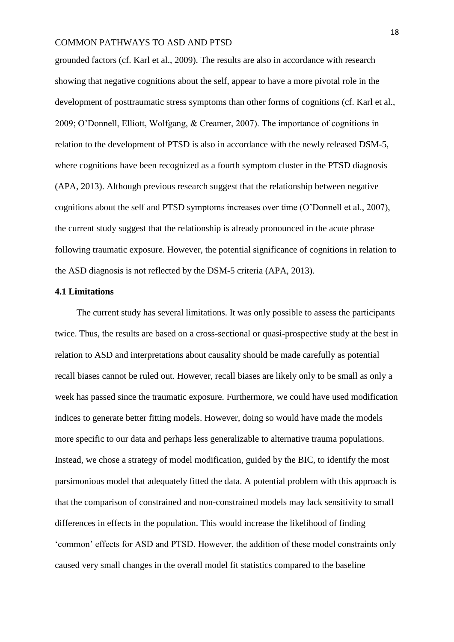grounded factors (cf. Karl et al., 2009). The results are also in accordance with research showing that negative cognitions about the self, appear to have a more pivotal role in the development of posttraumatic stress symptoms than other forms of cognitions (cf. Karl et al., 2009; O'Donnell, Elliott, Wolfgang, & Creamer, 2007). The importance of cognitions in relation to the development of PTSD is also in accordance with the newly released DSM-5, where cognitions have been recognized as a fourth symptom cluster in the PTSD diagnosis (APA, 2013). Although previous research suggest that the relationship between negative cognitions about the self and PTSD symptoms increases over time (O'Donnell et al., 2007), the current study suggest that the relationship is already pronounced in the acute phrase following traumatic exposure. However, the potential significance of cognitions in relation to the ASD diagnosis is not reflected by the DSM-5 criteria (APA, 2013).

#### **4.1 Limitations**

The current study has several limitations. It was only possible to assess the participants twice. Thus, the results are based on a cross-sectional or quasi-prospective study at the best in relation to ASD and interpretations about causality should be made carefully as potential recall biases cannot be ruled out. However, recall biases are likely only to be small as only a week has passed since the traumatic exposure. Furthermore, we could have used modification indices to generate better fitting models. However, doing so would have made the models more specific to our data and perhaps less generalizable to alternative trauma populations. Instead, we chose a strategy of model modification, guided by the BIC, to identify the most parsimonious model that adequately fitted the data. A potential problem with this approach is that the comparison of constrained and non-constrained models may lack sensitivity to small differences in effects in the population. This would increase the likelihood of finding 'common' effects for ASD and PTSD. However, the addition of these model constraints only caused very small changes in the overall model fit statistics compared to the baseline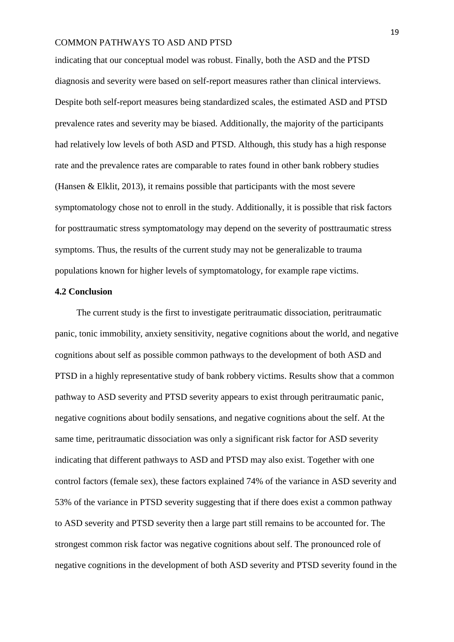indicating that our conceptual model was robust. Finally, both the ASD and the PTSD diagnosis and severity were based on self-report measures rather than clinical interviews. Despite both self-report measures being standardized scales, the estimated ASD and PTSD prevalence rates and severity may be biased. Additionally, the majority of the participants had relatively low levels of both ASD and PTSD. Although, this study has a high response rate and the prevalence rates are comparable to rates found in other bank robbery studies (Hansen & Elklit, 2013), it remains possible that participants with the most severe symptomatology chose not to enroll in the study. Additionally, it is possible that risk factors for posttraumatic stress symptomatology may depend on the severity of posttraumatic stress symptoms. Thus, the results of the current study may not be generalizable to trauma populations known for higher levels of symptomatology, for example rape victims.

#### **4.2 Conclusion**

The current study is the first to investigate peritraumatic dissociation, peritraumatic panic, tonic immobility, anxiety sensitivity, negative cognitions about the world, and negative cognitions about self as possible common pathways to the development of both ASD and PTSD in a highly representative study of bank robbery victims. Results show that a common pathway to ASD severity and PTSD severity appears to exist through peritraumatic panic, negative cognitions about bodily sensations, and negative cognitions about the self. At the same time, peritraumatic dissociation was only a significant risk factor for ASD severity indicating that different pathways to ASD and PTSD may also exist. Together with one control factors (female sex), these factors explained 74% of the variance in ASD severity and 53% of the variance in PTSD severity suggesting that if there does exist a common pathway to ASD severity and PTSD severity then a large part still remains to be accounted for. The strongest common risk factor was negative cognitions about self. The pronounced role of negative cognitions in the development of both ASD severity and PTSD severity found in the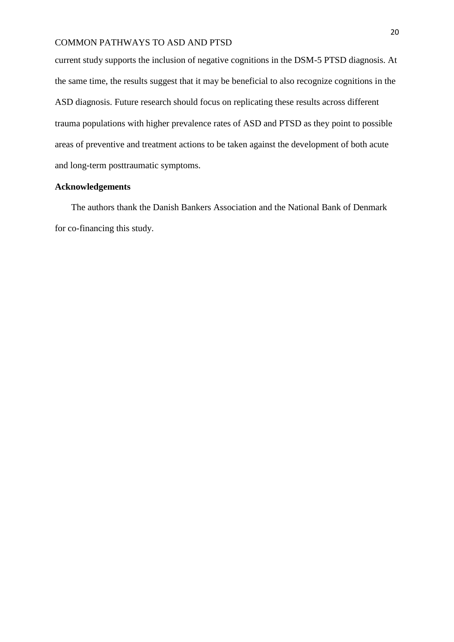current study supports the inclusion of negative cognitions in the DSM-5 PTSD diagnosis. At the same time, the results suggest that it may be beneficial to also recognize cognitions in the ASD diagnosis. Future research should focus on replicating these results across different trauma populations with higher prevalence rates of ASD and PTSD as they point to possible areas of preventive and treatment actions to be taken against the development of both acute and long-term posttraumatic symptoms.

## **Acknowledgements**

The authors thank the Danish Bankers Association and the National Bank of Denmark for co-financing this study.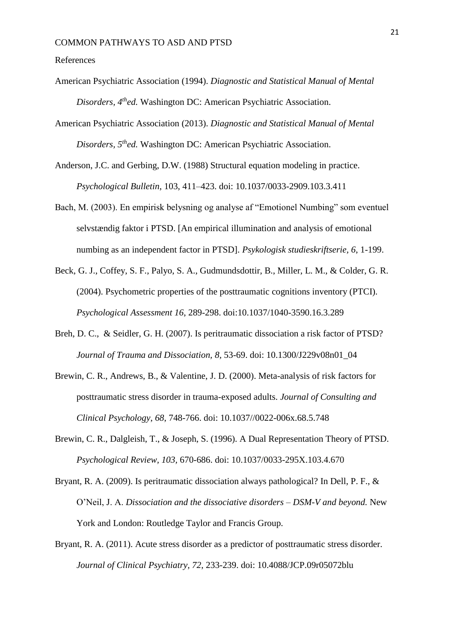#### References

- American Psychiatric Association (1994). *Diagnostic and Statistical Manual of Mental Disorders, 4thed.* Washington DC: American Psychiatric Association.
- American Psychiatric Association (2013). *Diagnostic and Statistical Manual of Mental Disorders, 5thed.* Washington DC: American Psychiatric Association.
- Anderson, J.C. and Gerbing, D.W. (1988) Structural equation modeling in practice. *Psychological Bulletin*, 103, 411–423. doi: 10.1037/0033-2909.103.3.411
- Bach, M. (2003). En empirisk belysning og analyse af "Emotionel Numbing" som eventuel selvstændig faktor i PTSD. [An empirical illumination and analysis of emotional numbing as an independent factor in PTSD]. *Psykologisk studieskriftserie, 6*, 1-199.
- Beck, G. J., Coffey, S. F., Palyo, S. A., Gudmundsdottir, B., Miller, L. M., & Colder, G. R. (2004). Psychometric properties of the posttraumatic cognitions inventory (PTCI). *Psychological Assessment 16*, 289-298. doi:10.1037/1040-3590.16.3.289
- Breh, D. C., & Seidler, G. H. (2007). Is peritraumatic dissociation a risk factor of PTSD? *Journal of Trauma and Dissociation, 8,* 53-69. doi: 10.1300/J229v08n01\_04
- Brewin, C. R., Andrews, B., & Valentine, J. D. (2000). Meta-analysis of risk factors for posttraumatic stress disorder in trauma-exposed adults. *Journal of Consulting and Clinical Psychology*, *68*, 748-766. doi: 10.1037//0022-006x.68.5.748
- Brewin, C. R., Dalgleish, T., & Joseph, S. (1996). A Dual Representation Theory of PTSD. *Psychological Review, 103,* 670-686. doi: 10.1037/0033-295X.103.4.670
- Bryant, R. A. (2009). Is peritraumatic dissociation always pathological? In Dell, P. F., & O'Neil, J. A. *Dissociation and the dissociative disorders – DSM-V and beyond.* New York and London: Routledge Taylor and Francis Group.
- Bryant, R. A. (2011). Acute stress disorder as a predictor of posttraumatic stress disorder. *Journal of Clinical Psychiatry, 72*, 233-239. doi: 10.4088/JCP.09r05072blu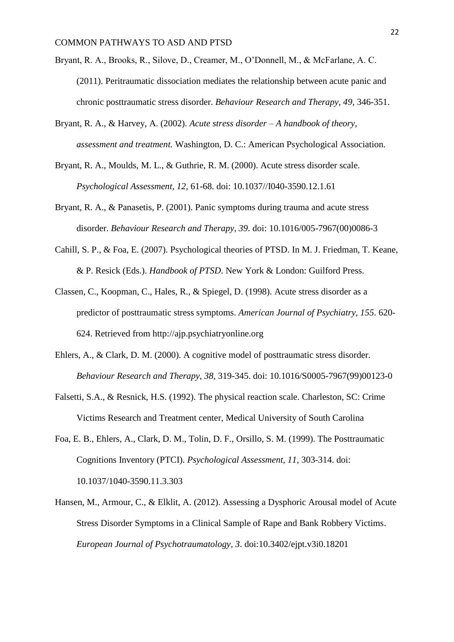- Bryant, R. A., Brooks, R., Silove, D., Creamer, M., O'Donnell, M., & McFarlane, A. C. (2011). Peritraumatic dissociation mediates the relationship between acute panic and chronic posttraumatic stress disorder. *Behaviour Research and Therapy, 49,* 346-351.
- Bryant, R. A., & Harvey, A. (2002). *Acute stress disorder – A handbook of theory, assessment and treatment.* Washington, D. C.: American Psychological Association.
- Bryant, R. A., Moulds, M. L., & Guthrie, R. M. (2000). Acute stress disorder scale. *Psychological Assessment, 12,* 61-68. doi: 10.1037//I040-3590.12.1.61
- Bryant, R. A., & Panasetis, P. (2001). Panic symptoms during trauma and acute stress disorder. *Behaviour Research and Therapy, 39*. doi: 10.1016/005-7967(00)0086-3
- Cahill, S. P., & Foa, E. (2007). Psychological theories of PTSD. In M. J. Friedman, T. Keane, & P. Resick (Eds.). *Handbook of PTSD*. New York & London: Guilford Press.
- Classen, C., Koopman, C., Hales, R., & Spiegel, D. (1998). Acute stress disorder as a predictor of posttraumatic stress symptoms. *American Journal of Psychiatry, 155*. 620- 624. Retrieved from http://ajp.psychiatryonline.org
- Ehlers, A., & Clark, D. M. (2000). A cognitive model of posttraumatic stress disorder. *Behaviour Research and Therapy, 38*, 319-345. doi: 10.1016/S0005-7967(99)00123-0
- Falsetti, S.A., & Resnick, H.S. (1992). The physical reaction scale. Charleston, SC: Crime Victims Research and Treatment center, Medical University of South Carolina
- Foa, E. B., Ehlers, A., Clark, D. M., Tolin, D. F., Orsillo, S. M. (1999). The Posttraumatic Cognitions Inventory (PTCI). *Psychological Assessment, 11*, 303-314. doi: [10.1037/1040-3590.11.3.303](http://psycnet.apa.org/doi/10.1037/1040-3590.11.3.303)
- Hansen, M., Armour, C., & Elklit, A. (2012). [Assessing a Dysphoric Arousal model of Acute](http://findresearcher.sdu.dk:8080/portal/da/publications/assessing-a-dysphoric-arousal-model-of-acute-stress-disorder-symptoms-in-a-clinical-sample-of-rape-and-bank-robbery-victims(804faa74-daf3-4b4f-b56f-5dd1c658a2ef).html)  [Stress Disorder Symptoms in a Clinical Sample of Rape and Bank Robbery Victims.](http://findresearcher.sdu.dk:8080/portal/da/publications/assessing-a-dysphoric-arousal-model-of-acute-stress-disorder-symptoms-in-a-clinical-sample-of-rape-and-bank-robbery-victims(804faa74-daf3-4b4f-b56f-5dd1c658a2ef).html) *[European Journal of Psychotraumatology,](http://findresearcher.sdu.dk:8080/portal/da/journals/european-journal-of-psychotraumatology(b194cbb1-b4d4-47fc-8fbb-de46311f5a10).html) 3*. [doi:10.3402/ejpt.v3i0.18201](http://dx.doi.org/doi:10.3402/ejpt.v3i0.18201)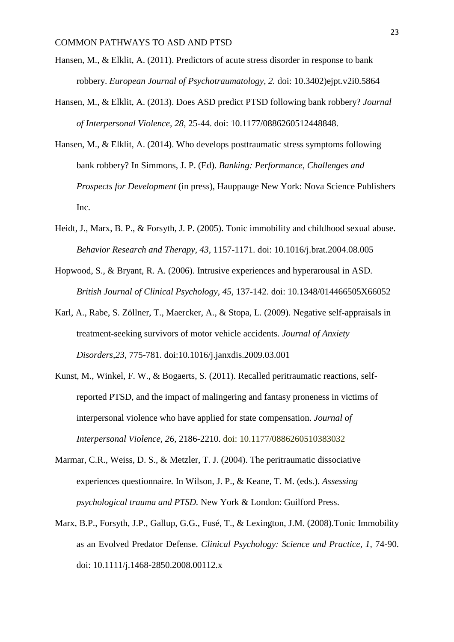- Hansen, M., & Elklit, A. (2011). Predictors of acute stress disorder in response to bank robbery. *European Journal of Psychotraumatology, 2.* doi: 10.3402)ejpt.v2i0.5864
- Hansen, M., & Elklit, A. (2013). Does ASD predict PTSD following bank robbery? *Journal of Interpersonal Violence, 28*, 25-44. doi: 10.1177/0886260512448848.
- Hansen, M., & Elklit, A. (2014). Who develops posttraumatic stress symptoms following bank robbery? In Simmons, J. P. (Ed). *Banking: Performance, Challenges and Prospects for Development* (in press), Hauppauge New York: Nova Science Publishers Inc.
- Heidt, J., Marx, B. P., & Forsyth, J. P. (2005). Tonic immobility and childhood sexual abuse. *Behavior Research and Therapy, 43,* 1157-1171. doi: 10.1016/j.brat.2004.08.005
- Hopwood, S., & Bryant, R. A. (2006). Intrusive experiences and hyperarousal in ASD. *British Journal of Clinical Psychology, 45*, 137-142. doi: 10.1348/014466505X66052
- Karl, A., Rabe, S. Zöllner, T., Maercker, A., & Stopa, L. (2009). Negative self-appraisals in treatment-seeking survivors of motor vehicle accidents. *Journal of Anxiety Disorders,23*, 775-781. doi:10.1016/j.janxdis.2009.03.001
- Kunst, M., Winkel, F. W., & Bogaerts, S. (2011). Recalled peritraumatic reactions, selfreported PTSD, and the impact of malingering and fantasy proneness in victims of interpersonal violence who have applied for state compensation. *Journal of Interpersonal Violence, 26,* 2186-2210. doi: 10.1177/0886260510383032
- Marmar, C.R., Weiss, D. S., & Metzler, T. J. (2004). The peritraumatic dissociative experiences questionnaire. In Wilson, J. P., & Keane, T. M. (eds.). *Assessing psychological trauma and PTSD.* New York & London: Guilford Press.
- Marx, B.P., Forsyth, J.P., Gallup, G.G., Fusé, T., & Lexington, J.M. (2008).Tonic Immobility as an Evolved Predator Defense. *Clinical Psychology: Science and Practice, 1,* 74-90. doi: 10.1111/j.1468-2850.2008.00112.x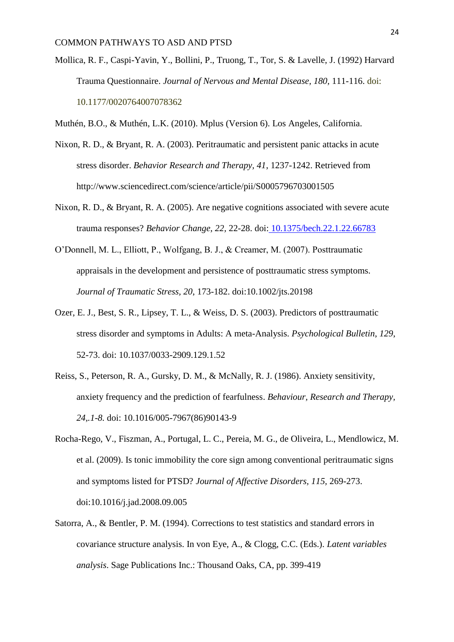- Mollica, R. F., Caspi-Yavin, Y., Bollini, P., Truong, T., Tor, S. & Lavelle, J. (1992) Harvard Trauma Questionnaire. *Journal of Nervous and Mental Disease, 180,* 111-116. doi: 10.1177/0020764007078362
- Muthén, B.O., & Muthén, L.K. (2010). Mplus (Version 6). Los Angeles, California.
- Nixon, R. D., & Bryant, R. A. (2003). Peritraumatic and persistent panic attacks in acute stress disorder. *Behavior Research and Therapy, 41*, 1237-1242. Retrieved from http://www.sciencedirect.com/science/article/pii/S0005796703001505
- Nixon, R. D., & Bryant, R. A. (2005). Are negative cognitions associated with severe acute trauma responses? *Behavior Change, 22,* 22-28. doi: [10.1375/bech.22.1.22.66783](http://dx.doi.org/10.1375/bech.22.1.22.66783)
- O'Donnell, M. L., Elliott, P., Wolfgang, B. J., & Creamer, M. (2007). Posttraumatic appraisals in the development and persistence of posttraumatic stress symptoms. *Journal of Traumatic Stress, 20*, 173-182. doi:10.1002/jts.20198
- Ozer, E. J., Best, S. R., Lipsey, T. L., & Weiss, D. S. (2003). Predictors of posttraumatic stress disorder and symptoms in Adults: A meta-Analysis. *Psychological Bulletin*, *129*, 52-73. doi: 10.1037/0033-2909.129.1.52
- Reiss, S., Peterson, R. A., Gursky, D. M., & McNally, R. J. (1986). [Anxiety sensitivity,](http://www.sciencedirect.com.proxy1-bib.sdu.dk:2048/science/article/pii/0005796786901439?_rdoc=2&_fmt=high&_origin=browse&_srch=hubEid(1-s2.0-S0005796700X02239)&_docanchor=&_ct=41&_refLink=Y&_zone=rslt_list_item&md5=a347b8ad11242c0d4d0ebd5f488faa65)  [anxiety frequency and the prediction of fearfulness.](http://www.sciencedirect.com.proxy1-bib.sdu.dk:2048/science/article/pii/0005796786901439?_rdoc=2&_fmt=high&_origin=browse&_srch=hubEid(1-s2.0-S0005796700X02239)&_docanchor=&_ct=41&_refLink=Y&_zone=rslt_list_item&md5=a347b8ad11242c0d4d0ebd5f488faa65) *Behaviour, Research and Therapy, 24,.1-8.* doi: 10.1016/005-7967(86)90143-9
- Rocha-Rego, V., Fiszman, A., Portugal, L. C., Pereia, M. G., de Oliveira, L., Mendlowicz, M. et al. (2009). Is tonic immobility the core sign among conventional peritraumatic signs and symptoms listed for PTSD? *Journal of Affective Disorders, 115,* 269-273. doi:10.1016/j.jad.2008.09.005
- Satorra, A., & Bentler, P. M. (1994). Corrections to test statistics and standard errors in covariance structure analysis. In von Eye, A., & Clogg, C.C. (Eds.). *Latent variables analysis*. Sage Publications Inc.: Thousand Oaks, CA, pp. 399-419